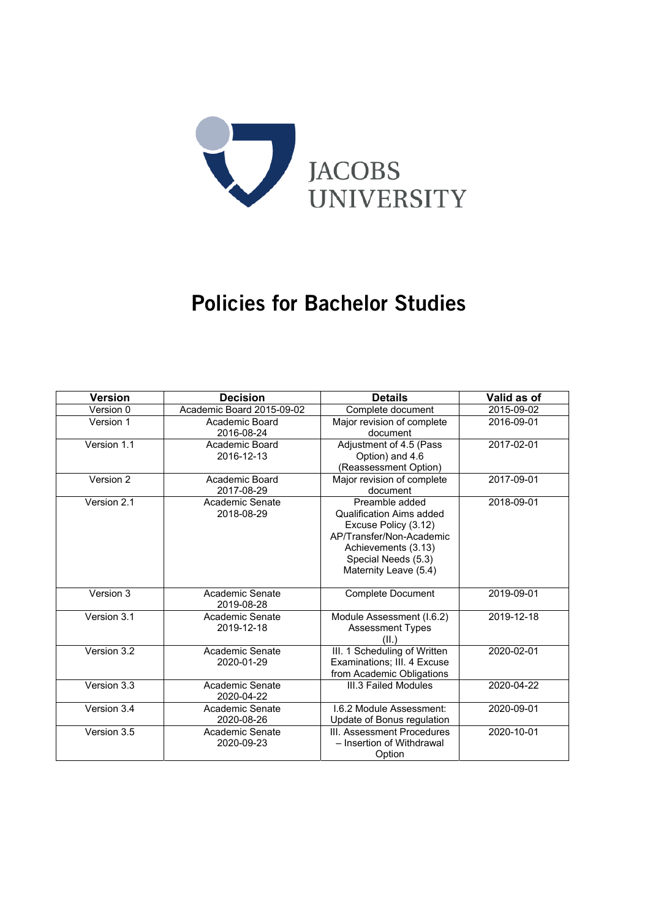

# Policies for Bachelor Studies

| <b>Version</b> | <b>Decision</b>               | <b>Details</b>                                                                                                                                                        | Valid as of |
|----------------|-------------------------------|-----------------------------------------------------------------------------------------------------------------------------------------------------------------------|-------------|
| Version 0      | Academic Board 2015-09-02     | Complete document                                                                                                                                                     | 2015-09-02  |
| Version 1      | Academic Board<br>2016-08-24  | Major revision of complete<br>document                                                                                                                                | 2016-09-01  |
| Version 1.1    | Academic Board<br>2016-12-13  | Adjustment of 4.5 (Pass<br>Option) and 4.6<br>(Reassessment Option)                                                                                                   | 2017-02-01  |
| Version 2      | Academic Board<br>2017-08-29  | Major revision of complete<br>document                                                                                                                                | 2017-09-01  |
| Version 2.1    | Academic Senate<br>2018-08-29 | Preamble added<br>Qualification Aims added<br>Excuse Policy (3.12)<br>AP/Transfer/Non-Academic<br>Achievements (3.13)<br>Special Needs (5.3)<br>Maternity Leave (5.4) | 2018-09-01  |
| Version 3      | Academic Senate<br>2019-08-28 | <b>Complete Document</b>                                                                                                                                              | 2019-09-01  |
| Version 3.1    | Academic Senate<br>2019-12-18 | Module Assessment (I.6.2)<br><b>Assessment Types</b><br>(II.)                                                                                                         | 2019-12-18  |
| Version 3.2    | Academic Senate<br>2020-01-29 | III. 1 Scheduling of Written<br>Examinations; III. 4 Excuse<br>from Academic Obligations                                                                              | 2020-02-01  |
| Version 3.3    | Academic Senate<br>2020-04-22 | III.3 Failed Modules                                                                                                                                                  | 2020-04-22  |
| Version 3.4    | Academic Senate<br>2020-08-26 | I.6.2 Module Assessment:<br>Update of Bonus regulation                                                                                                                | 2020-09-01  |
| Version 3.5    | Academic Senate<br>2020-09-23 | III. Assessment Procedures<br>- Insertion of Withdrawal<br>Option                                                                                                     | 2020-10-01  |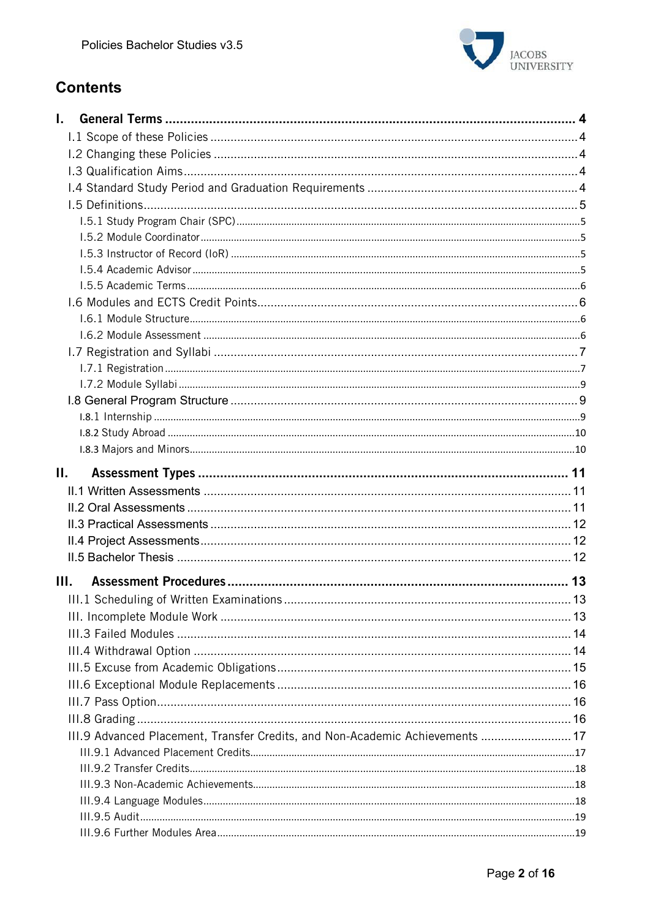

# **Contents**

| L.                                                                            |  |
|-------------------------------------------------------------------------------|--|
|                                                                               |  |
|                                                                               |  |
|                                                                               |  |
|                                                                               |  |
|                                                                               |  |
|                                                                               |  |
|                                                                               |  |
|                                                                               |  |
|                                                                               |  |
|                                                                               |  |
|                                                                               |  |
|                                                                               |  |
|                                                                               |  |
|                                                                               |  |
|                                                                               |  |
|                                                                               |  |
|                                                                               |  |
|                                                                               |  |
|                                                                               |  |
|                                                                               |  |
| П.                                                                            |  |
|                                                                               |  |
|                                                                               |  |
|                                                                               |  |
|                                                                               |  |
|                                                                               |  |
| III.                                                                          |  |
|                                                                               |  |
|                                                                               |  |
|                                                                               |  |
|                                                                               |  |
|                                                                               |  |
|                                                                               |  |
|                                                                               |  |
|                                                                               |  |
| III.9 Advanced Placement, Transfer Credits, and Non-Academic Achievements  17 |  |
|                                                                               |  |
|                                                                               |  |
|                                                                               |  |
|                                                                               |  |
|                                                                               |  |
|                                                                               |  |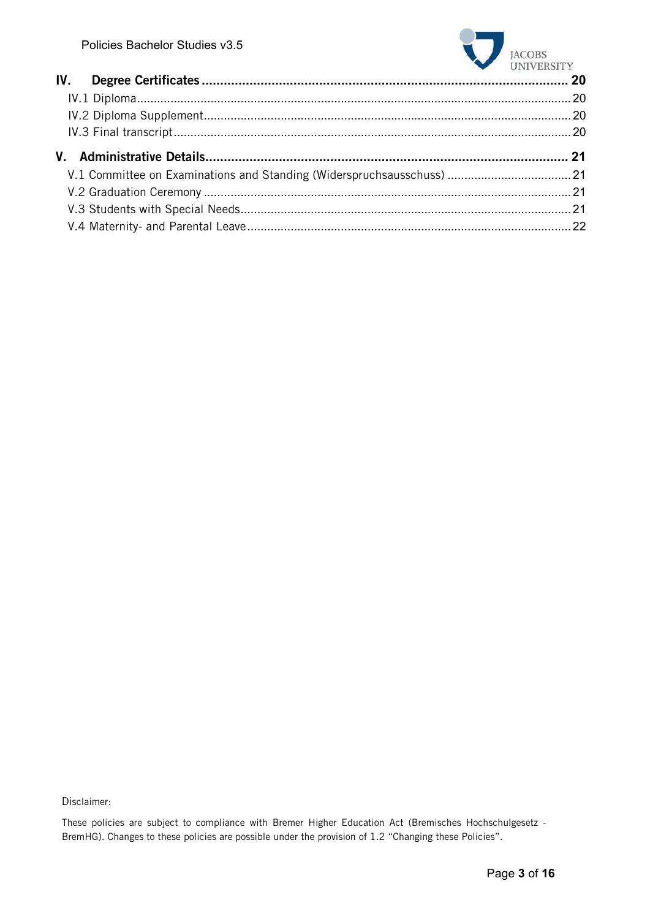

| $U_{111}$ $U_{121}$ |
|---------------------|
|                     |
|                     |
|                     |
|                     |
|                     |
|                     |
|                     |
|                     |
|                     |
|                     |

Disclaimer:

These policies are subject to compliance with Bremer Higher Education Act (Bremisches Hochschulgesetz - BremHG). Changes to these policies are possible under the provision of 1.2 "Changing these Policies".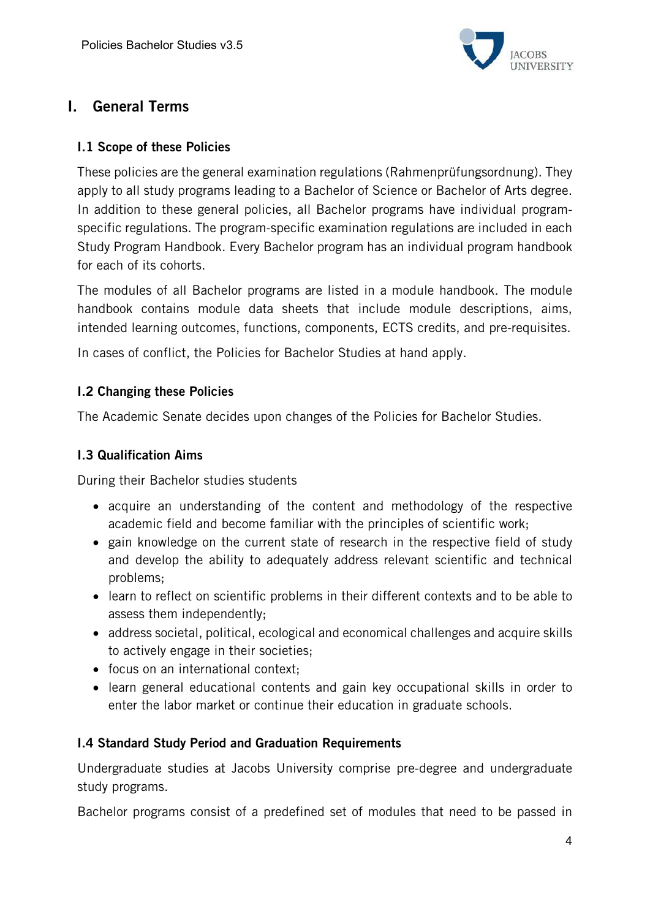

# I. General Terms

### I.1 Scope of these Policies

These policies are the general examination regulations (Rahmenprüfungsordnung). They apply to all study programs leading to a Bachelor of Science or Bachelor of Arts degree. In addition to these general policies, all Bachelor programs have individual programspecific regulations. The program-specific examination regulations are included in each Study Program Handbook. Every Bachelor program has an individual program handbook for each of its cohorts.

The modules of all Bachelor programs are listed in a module handbook. The module handbook contains module data sheets that include module descriptions, aims, intended learning outcomes, functions, components, ECTS credits, and pre-requisites.

In cases of conflict, the Policies for Bachelor Studies at hand apply.

# I.2 Changing these Policies

The Academic Senate decides upon changes of the Policies for Bachelor Studies.

# I.3 Qualification Aims

During their Bachelor studies students

- acquire an understanding of the content and methodology of the respective academic field and become familiar with the principles of scientific work;
- gain knowledge on the current state of research in the respective field of study and develop the ability to adequately address relevant scientific and technical problems;
- learn to reflect on scientific problems in their different contexts and to be able to assess them independently;
- address societal, political, ecological and economical challenges and acquire skills to actively engage in their societies;
- focus on an international context;
- learn general educational contents and gain key occupational skills in order to enter the labor market or continue their education in graduate schools.

### I.4 Standard Study Period and Graduation Requirements

Undergraduate studies at Jacobs University comprise pre-degree and undergraduate study programs.

Bachelor programs consist of a predefined set of modules that need to be passed in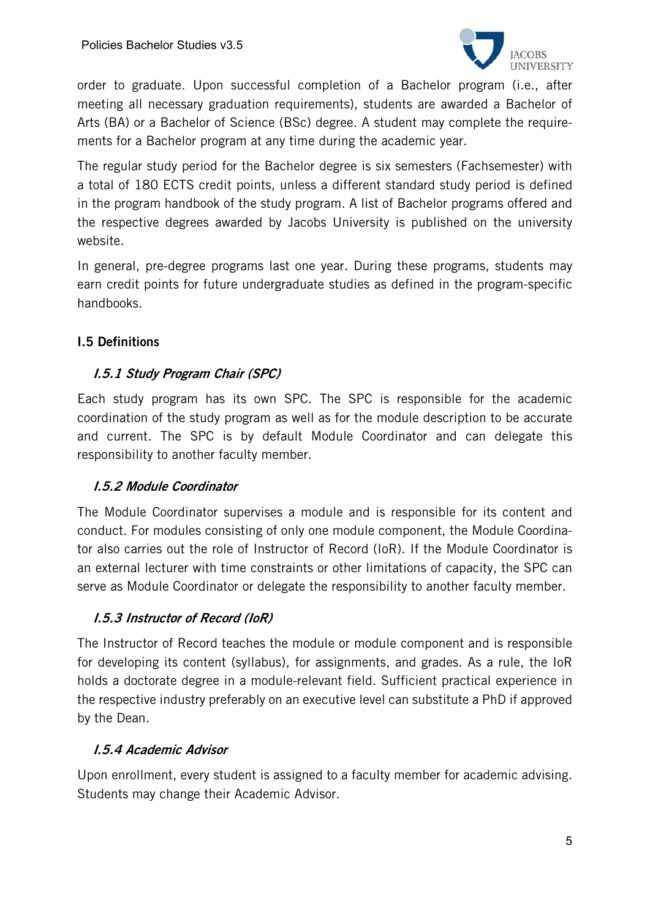

order to graduate. Upon successful completion of a Bachelor program (i.e., after meeting all necessary graduation requirements), students are awarded a Bachelor of Arts (BA) or a Bachelor of Science (BSc) degree. A student may complete the requirements for a Bachelor program at any time during the academic year.

The regular study period for the Bachelor degree is six semesters (Fachsemester) with a total of 180 ECTS credit points, unless a different standard study period is defined in the program handbook of the study program. A list of Bachelor programs offered and the respective degrees awarded by Jacobs University is published on the university website.

In general, pre-degree programs last one year. During these programs, students may earn credit points for future undergraduate studies as defined in the program-specific handbooks.

# I.5 Definitions

# I.5.1 Study Program Chair (SPC)

Each study program has its own SPC. The SPC is responsible for the academic coordination of the study program as well as for the module description to be accurate and current. The SPC is by default Module Coordinator and can delegate this responsibility to another faculty member.

### I.5.2 Module Coordinator

The Module Coordinator supervises a module and is responsible for its content and conduct. For modules consisting of only one module component, the Module Coordinator also carries out the role of Instructor of Record (IoR). If the Module Coordinator is an external lecturer with time constraints or other limitations of capacity, the SPC can serve as Module Coordinator or delegate the responsibility to another faculty member.

### I.5.3 Instructor of Record (IoR)

The Instructor of Record teaches the module or module component and is responsible for developing its content (syllabus), for assignments, and grades. As a rule, the IoR holds a doctorate degree in a module-relevant field. Sufficient practical experience in the respective industry preferably on an executive level can substitute a PhD if approved by the Dean.

### I.5.4 Academic Advisor

Upon enrollment, every student is assigned to a faculty member for academic advising. Students may change their Academic Advisor.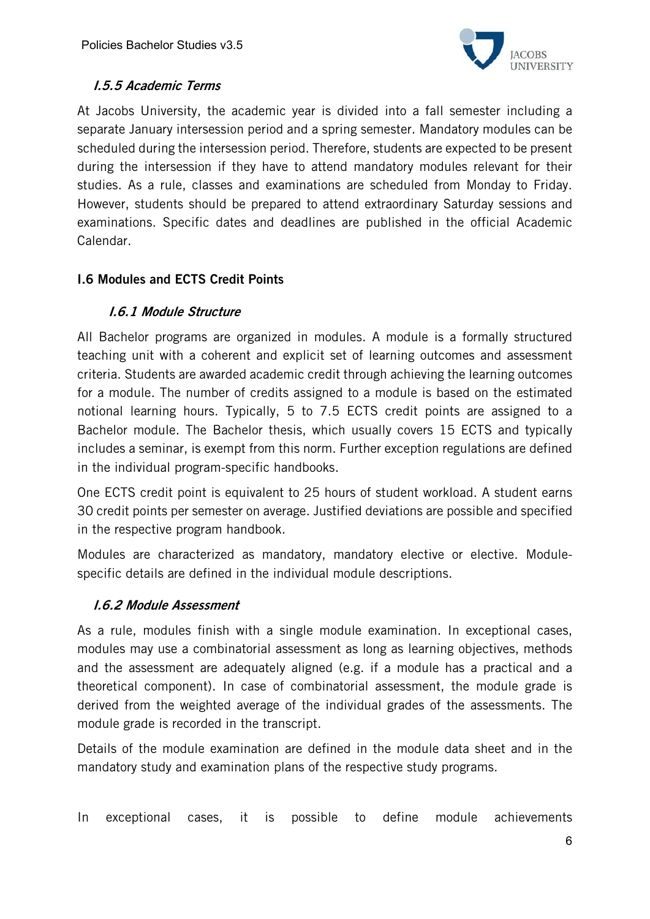

# I.5.5 Academic Terms

At Jacobs University, the academic year is divided into a fall semester including a separate January intersession period and a spring semester. Mandatory modules can be scheduled during the intersession period. Therefore, students are expected to be present during the intersession if they have to attend mandatory modules relevant for their studies. As a rule, classes and examinations are scheduled from Monday to Friday. However, students should be prepared to attend extraordinary Saturday sessions and examinations. Specific dates and deadlines are published in the official Academic Calendar.

# I.6 Modules and ECTS Credit Points

# I.6.1 Module Structure

All Bachelor programs are organized in modules. A module is a formally structured teaching unit with a coherent and explicit set of learning outcomes and assessment criteria. Students are awarded academic credit through achieving the learning outcomes for a module. The number of credits assigned to a module is based on the estimated notional learning hours. Typically, 5 to 7.5 ECTS credit points are assigned to a Bachelor module. The Bachelor thesis, which usually covers 15 ECTS and typically includes a seminar, is exempt from this norm. Further exception regulations are defined in the individual program-specific handbooks.

One ECTS credit point is equivalent to 25 hours of student workload. A student earns 30 credit points per semester on average. Justified deviations are possible and specified in the respective program handbook.

Modules are characterized as mandatory, mandatory elective or elective. Modulespecific details are defined in the individual module descriptions.

### I.6.2 Module Assessment

As a rule, modules finish with a single module examination. In exceptional cases, modules may use a combinatorial assessment as long as learning objectives, methods and the assessment are adequately aligned (e.g. if a module has a practical and a theoretical component). In case of combinatorial assessment, the module grade is derived from the weighted average of the individual grades of the assessments. The module grade is recorded in the transcript.

Details of the module examination are defined in the module data sheet and in the mandatory study and examination plans of the respective study programs.

In exceptional cases, it is possible to define module achievements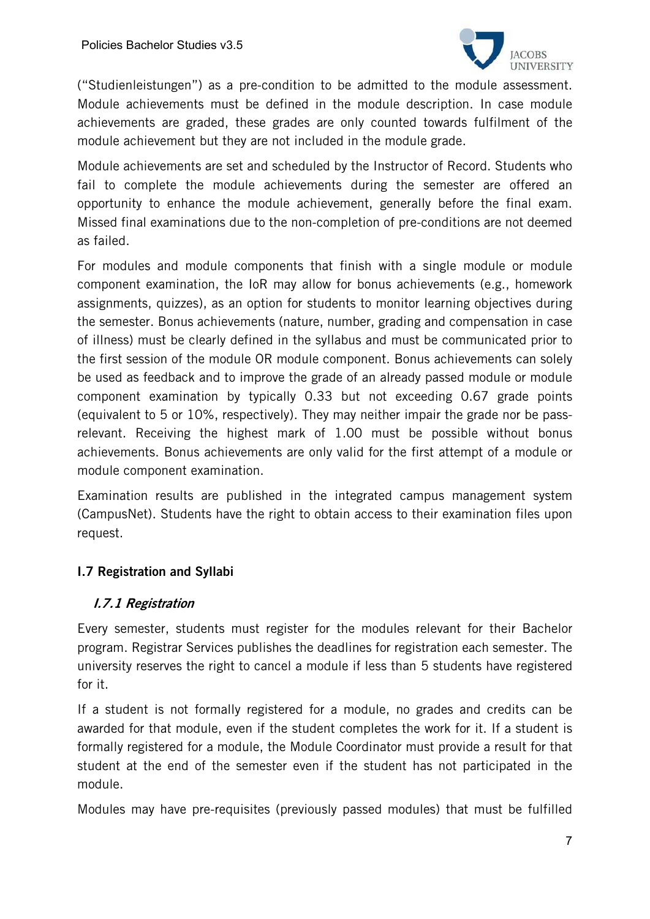

("Studienleistungen") as a pre-condition to be admitted to the module assessment. Module achievements must be defined in the module description. In case module achievements are graded, these grades are only counted towards fulfilment of the module achievement but they are not included in the module grade.

Module achievements are set and scheduled by the Instructor of Record. Students who fail to complete the module achievements during the semester are offered an opportunity to enhance the module achievement, generally before the final exam. Missed final examinations due to the non-completion of pre-conditions are not deemed as failed.

For modules and module components that finish with a single module or module component examination, the IoR may allow for bonus achievements (e.g., homework assignments, quizzes), as an option for students to monitor learning objectives during the semester. Bonus achievements (nature, number, grading and compensation in case of illness) must be clearly defined in the syllabus and must be communicated prior to the first session of the module OR module component. Bonus achievements can solely be used as feedback and to improve the grade of an already passed module or module component examination by typically 0.33 but not exceeding 0.67 grade points (equivalent to 5 or 10%, respectively). They may neither impair the grade nor be passrelevant. Receiving the highest mark of 1.00 must be possible without bonus achievements. Bonus achievements are only valid for the first attempt of a module or module component examination.

Examination results are published in the integrated campus management system (CampusNet). Students have the right to obtain access to their examination files upon request.

# I.7 Registration and Syllabi

### I.7.1 Registration

Every semester, students must register for the modules relevant for their Bachelor program. Registrar Services publishes the deadlines for registration each semester. The university reserves the right to cancel a module if less than 5 students have registered for it.

If a student is not formally registered for a module, no grades and credits can be awarded for that module, even if the student completes the work for it. If a student is formally registered for a module, the Module Coordinator must provide a result for that student at the end of the semester even if the student has not participated in the module.

Modules may have pre-requisites (previously passed modules) that must be fulfilled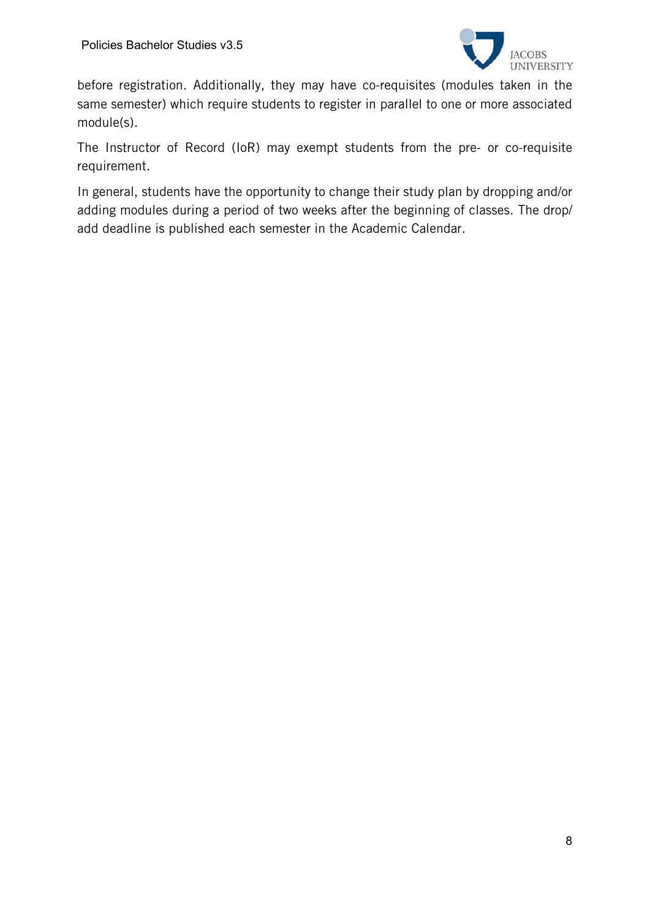

before registration. Additionally, they may have co-requisites (modules taken in the same semester) which require students to register in parallel to one or more associated module(s).

The Instructor of Record (IoR) may exempt students from the pre- or co-requisite requirement.

In general, students have the opportunity to change their study plan by dropping and/or adding modules during a period of two weeks after the beginning of classes. The drop/ add deadline is published each semester in the Academic Calendar.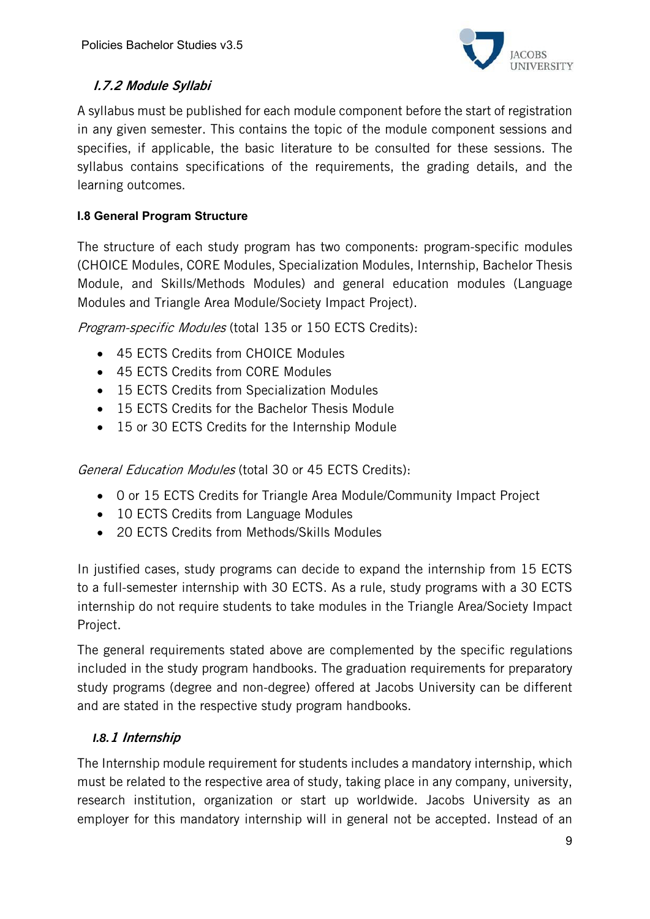

# I.7.2 Module Syllabi

A syllabus must be published for each module component before the start of registration in any given semester. This contains the topic of the module component sessions and specifies, if applicable, the basic literature to be consulted for these sessions. The syllabus contains specifications of the requirements, the grading details, and the learning outcomes.

# **I.8 General Program Structure**

The structure of each study program has two components: program-specific modules (CHOICE Modules, CORE Modules, Specialization Modules, Internship, Bachelor Thesis Module, and Skills/Methods Modules) and general education modules (Language Modules and Triangle Area Module/Society Impact Project).

Program-specific Modules (total 135 or 150 ECTS Credits):

- 45 ECTS Credits from CHOICE Modules
- 45 ECTS Credits from CORE Modules
- 15 ECTS Credits from Specialization Modules
- 15 ECTS Credits for the Bachelor Thesis Module
- 15 or 30 ECTS Credits for the Internship Module

General Education Modules (total 30 or 45 ECTS Credits):

- 0 or 15 ECTS Credits for Triangle Area Module/Community Impact Project
- 10 ECTS Credits from Language Modules
- 20 ECTS Credits from Methods/Skills Modules

In justified cases, study programs can decide to expand the internship from 15 ECTS to a full-semester internship with 30 ECTS. As a rule, study programs with a 30 ECTS internship do not require students to take modules in the Triangle Area/Society Impact Project.

The general requirements stated above are complemented by the specific regulations included in the study program handbooks. The graduation requirements for preparatory study programs (degree and non-degree) offered at Jacobs University can be different and are stated in the respective study program handbooks.

# *I.8.*1 Internship

The Internship module requirement for students includes a mandatory internship, which must be related to the respective area of study, taking place in any company, university, research institution, organization or start up worldwide. Jacobs University as an employer for this mandatory internship will in general not be accepted. Instead of an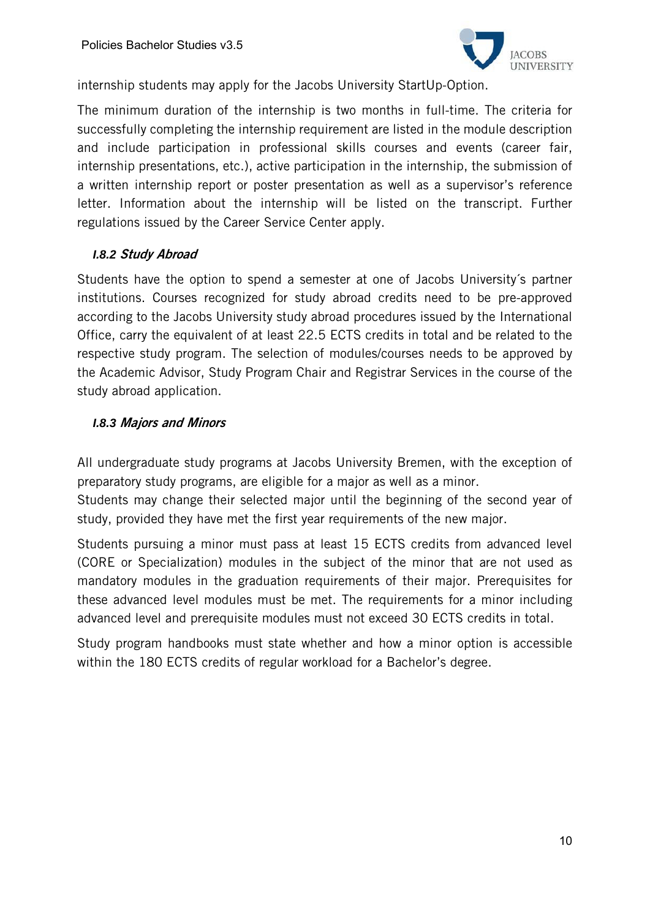

internship students may apply for the Jacobs University StartUp-Option.

The minimum duration of the internship is two months in full-time. The criteria for successfully completing the internship requirement are listed in the module description and include participation in professional skills courses and events (career fair, internship presentations, etc.), active participation in the internship, the submission of a written internship report or poster presentation as well as a supervisor's reference letter. Information about the internship will be listed on the transcript. Further regulations issued by the Career Service Center apply.

### *I.8.2* Study Abroad

Students have the option to spend a semester at one of Jacobs University´s partner institutions. Courses recognized for study abroad credits need to be pre-approved according to the Jacobs University study abroad procedures issued by the International Office, carry the equivalent of at least 22.5 ECTS credits in total and be related to the respective study program. The selection of modules/courses needs to be approved by the Academic Advisor, Study Program Chair and Registrar Services in the course of the study abroad application.

### *I.8.3* Majors and Minors

All undergraduate study programs at Jacobs University Bremen, with the exception of preparatory study programs, are eligible for a major as well as a minor.

Students may change their selected major until the beginning of the second year of study, provided they have met the first year requirements of the new major.

Students pursuing a minor must pass at least 15 ECTS credits from advanced level (CORE or Specialization) modules in the subject of the minor that are not used as mandatory modules in the graduation requirements of their major. Prerequisites for these advanced level modules must be met. The requirements for a minor including advanced level and prerequisite modules must not exceed 30 ECTS credits in total.

Study program handbooks must state whether and how a minor option is accessible within the 180 ECTS credits of regular workload for a Bachelor's degree.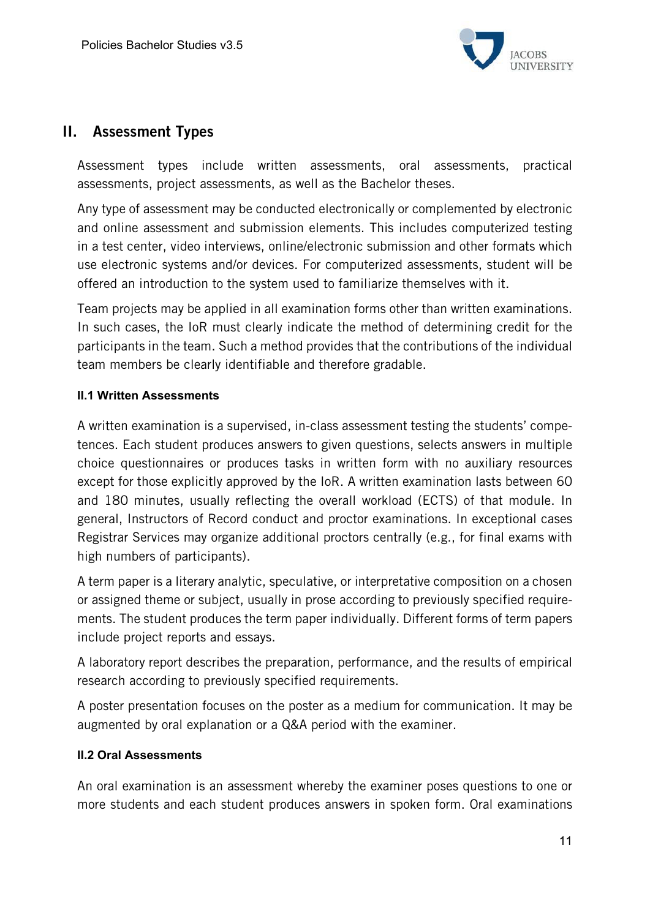

# II. Assessment Types

Assessment types include written assessments, oral assessments, practical assessments, project assessments, as well as the Bachelor theses.

Any type of assessment may be conducted electronically or complemented by electronic and online assessment and submission elements. This includes computerized testing in a test center, video interviews, online/electronic submission and other formats which use electronic systems and/or devices. For computerized assessments, student will be offered an introduction to the system used to familiarize themselves with it.

Team projects may be applied in all examination forms other than written examinations. In such cases, the IoR must clearly indicate the method of determining credit for the participants in the team. Such a method provides that the contributions of the individual team members be clearly identifiable and therefore gradable.

### **II.1 Written Assessments**

A written examination is a supervised, in-class assessment testing the students' competences. Each student produces answers to given questions, selects answers in multiple choice questionnaires or produces tasks in written form with no auxiliary resources except for those explicitly approved by the IoR. A written examination lasts between 60 and 180 minutes, usually reflecting the overall workload (ECTS) of that module. In general, Instructors of Record conduct and proctor examinations. In exceptional cases Registrar Services may organize additional proctors centrally (e.g., for final exams with high numbers of participants).

A term paper is a literary analytic, speculative, or interpretative composition on a chosen or assigned theme or subject, usually in prose according to previously specified requirements. The student produces the term paper individually. Different forms of term papers include project reports and essays.

A laboratory report describes the preparation, performance, and the results of empirical research according to previously specified requirements.

A poster presentation focuses on the poster as a medium for communication. It may be augmented by oral explanation or a Q&A period with the examiner.

### **II.2 Oral Assessments**

An oral examination is an assessment whereby the examiner poses questions to one or more students and each student produces answers in spoken form. Oral examinations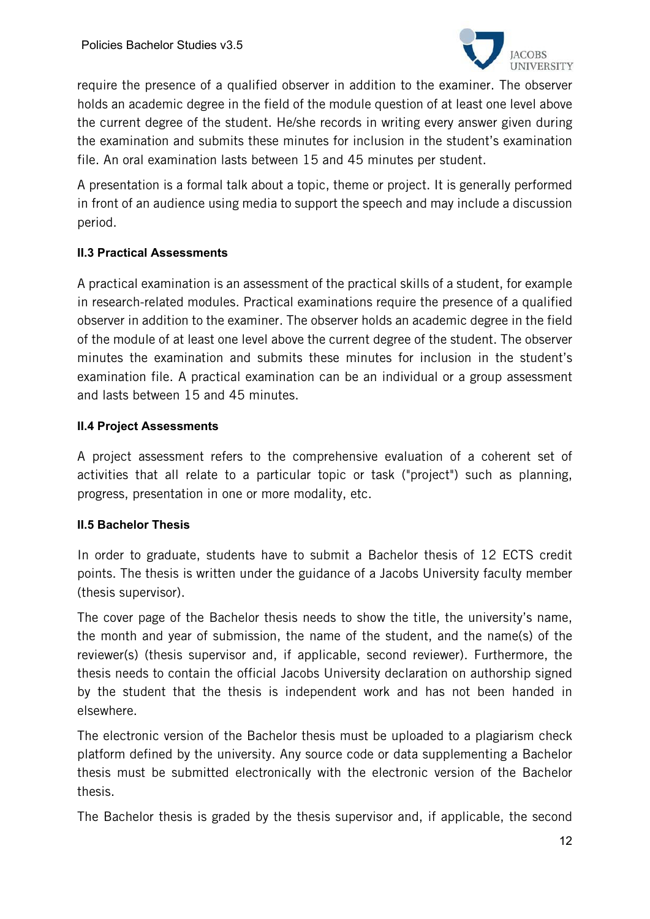

require the presence of a qualified observer in addition to the examiner. The observer holds an academic degree in the field of the module question of at least one level above the current degree of the student. He/she records in writing every answer given during the examination and submits these minutes for inclusion in the student's examination file. An oral examination lasts between 15 and 45 minutes per student.

A presentation is a formal talk about a topic, theme or project. It is generally performed in front of an audience using media to support the speech and may include a discussion period.

# **II.3 Practical Assessments**

A practical examination is an assessment of the practical skills of a student, for example in research-related modules. Practical examinations require the presence of a qualified observer in addition to the examiner. The observer holds an academic degree in the field of the module of at least one level above the current degree of the student. The observer minutes the examination and submits these minutes for inclusion in the student's examination file. A practical examination can be an individual or a group assessment and lasts between 15 and 45 minutes.

### **II.4 Project Assessments**

A project assessment refers to the comprehensive evaluation of a coherent set of activities that all relate to a particular topic or task ("project") such as planning, progress, presentation in one or more modality, etc.

### **II.5 Bachelor Thesis**

In order to graduate, students have to submit a Bachelor thesis of 12 ECTS credit points. The thesis is written under the guidance of a Jacobs University faculty member (thesis supervisor).

The cover page of the Bachelor thesis needs to show the title, the university's name, the month and year of submission, the name of the student, and the name(s) of the reviewer(s) (thesis supervisor and, if applicable, second reviewer). Furthermore, the thesis needs to contain the official Jacobs University declaration on authorship signed by the student that the thesis is independent work and has not been handed in elsewhere.

The electronic version of the Bachelor thesis must be uploaded to a plagiarism check platform defined by the university. Any source code or data supplementing a Bachelor thesis must be submitted electronically with the electronic version of the Bachelor thesis.

The Bachelor thesis is graded by the thesis supervisor and, if applicable, the second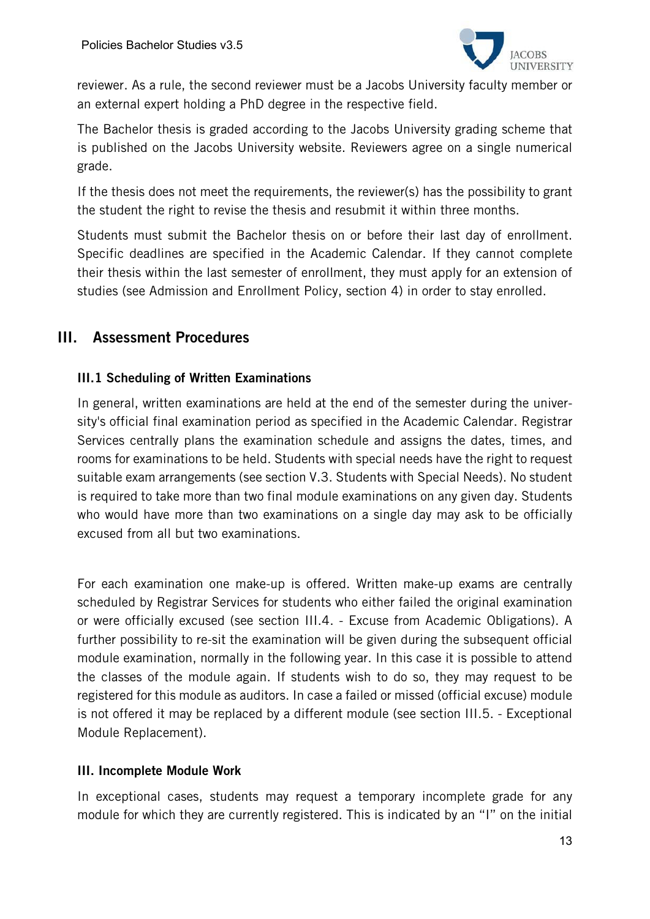

reviewer. As a rule, the second reviewer must be a Jacobs University faculty member or an external expert holding a PhD degree in the respective field.

The Bachelor thesis is graded according to the Jacobs University grading scheme that is published on the Jacobs University website. Reviewers agree on a single numerical grade.

If the thesis does not meet the requirements, the reviewer(s) has the possibility to grant the student the right to revise the thesis and resubmit it within three months.

Students must submit the Bachelor thesis on or before their last day of enrollment. Specific deadlines are specified in the Academic Calendar. If they cannot complete their thesis within the last semester of enrollment, they must apply for an extension of studies (see Admission and Enrollment Policy, section 4) in order to stay enrolled.

# III. Assessment Procedures

# III.1 Scheduling of Written Examinations

In general, written examinations are held at the end of the semester during the university's official final examination period as specified in the Academic Calendar. Registrar Services centrally plans the examination schedule and assigns the dates, times, and rooms for examinations to be held. Students with special needs have the right to request suitable exam arrangements (see section V.3. Students with Special Needs). No student is required to take more than two final module examinations on any given day. Students who would have more than two examinations on a single day may ask to be officially excused from all but two examinations.

For each examination one make-up is offered. Written make-up exams are centrally scheduled by Registrar Services for students who either failed the original examination or were officially excused (see section III.4. - Excuse from Academic Obligations). A further possibility to re-sit the examination will be given during the subsequent official module examination, normally in the following year. In this case it is possible to attend the classes of the module again. If students wish to do so, they may request to be registered for this module as auditors. In case a failed or missed (official excuse) module is not offered it may be replaced by a different module (see section III.5. - Exceptional Module Replacement).

### III. Incomplete Module Work

In exceptional cases, students may request a temporary incomplete grade for any module for which they are currently registered. This is indicated by an "I" on the initial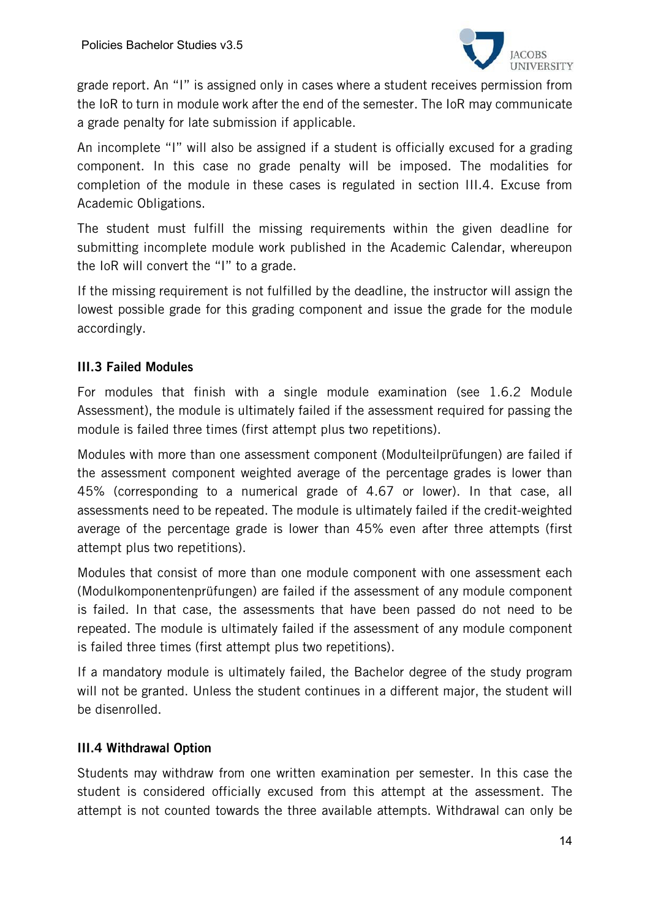

grade report. An "I" is assigned only in cases where a student receives permission from the IoR to turn in module work after the end of the semester. The IoR may communicate a grade penalty for late submission if applicable.

An incomplete "I" will also be assigned if a student is officially excused for a grading component. In this case no grade penalty will be imposed. The modalities for completion of the module in these cases is regulated in section III.4. Excuse from Academic Obligations.

The student must fulfill the missing requirements within the given deadline for submitting incomplete module work published in the Academic Calendar, whereupon the IoR will convert the "I" to a grade.

If the missing requirement is not fulfilled by the deadline, the instructor will assign the lowest possible grade for this grading component and issue the grade for the module accordingly.

# III.3 Failed Modules

For modules that finish with a single module examination (see 1.6.2 Module Assessment), the module is ultimately failed if the assessment required for passing the module is failed three times (first attempt plus two repetitions).

Modules with more than one assessment component (Modulteilprüfungen) are failed if the assessment component weighted average of the percentage grades is lower than 45% (corresponding to a numerical grade of 4.67 or lower). In that case, all assessments need to be repeated. The module is ultimately failed if the credit-weighted average of the percentage grade is lower than 45% even after three attempts (first attempt plus two repetitions).

Modules that consist of more than one module component with one assessment each (Modulkomponentenprüfungen) are failed if the assessment of any module component is failed. In that case, the assessments that have been passed do not need to be repeated. The module is ultimately failed if the assessment of any module component is failed three times (first attempt plus two repetitions).

If a mandatory module is ultimately failed, the Bachelor degree of the study program will not be granted. Unless the student continues in a different major, the student will be disenrolled.

### III.4 Withdrawal Option

Students may withdraw from one written examination per semester. In this case the student is considered officially excused from this attempt at the assessment. The attempt is not counted towards the three available attempts. Withdrawal can only be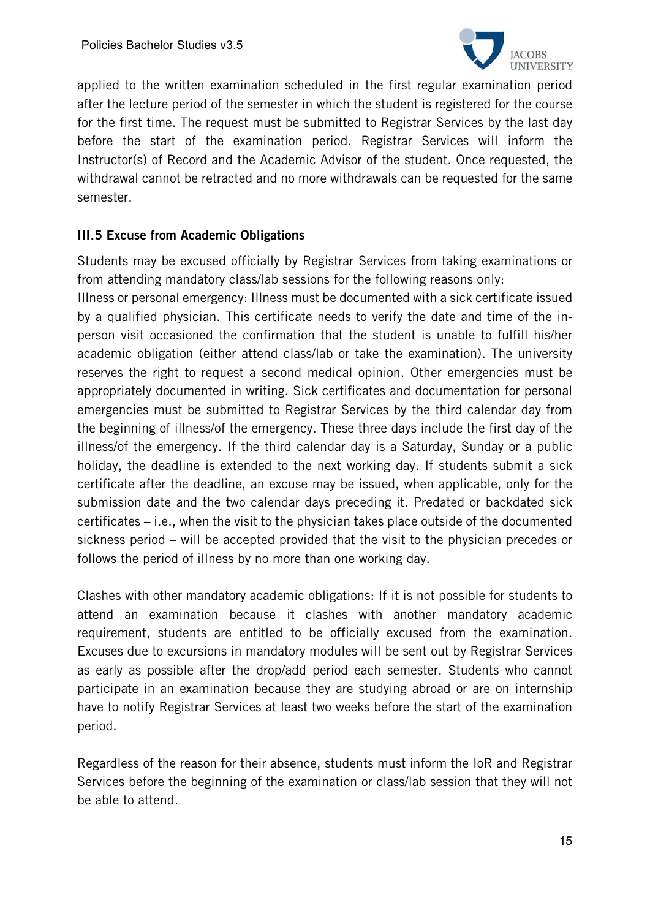

applied to the written examination scheduled in the first regular examination period after the lecture period of the semester in which the student is registered for the course for the first time. The request must be submitted to Registrar Services by the last day before the start of the examination period. Registrar Services will inform the Instructor(s) of Record and the Academic Advisor of the student. Once requested, the withdrawal cannot be retracted and no more withdrawals can be requested for the same semester.

### III.5 Excuse from Academic Obligations

Students may be excused officially by Registrar Services from taking examinations or from attending mandatory class/lab sessions for the following reasons only:

Illness or personal emergency: Illness must be documented with a sick certificate issued by a qualified physician. This certificate needs to verify the date and time of the inperson visit occasioned the confirmation that the student is unable to fulfill his/her academic obligation (either attend class/lab or take the examination). The university reserves the right to request a second medical opinion. Other emergencies must be appropriately documented in writing. Sick certificates and documentation for personal emergencies must be submitted to Registrar Services by the third calendar day from the beginning of illness/of the emergency. These three days include the first day of the illness/of the emergency. If the third calendar day is a Saturday, Sunday or a public holiday, the deadline is extended to the next working day. If students submit a sick certificate after the deadline, an excuse may be issued, when applicable, only for the submission date and the two calendar days preceding it. Predated or backdated sick certificates – i.e., when the visit to the physician takes place outside of the documented sickness period – will be accepted provided that the visit to the physician precedes or follows the period of illness by no more than one working day.

Clashes with other mandatory academic obligations: If it is not possible for students to attend an examination because it clashes with another mandatory academic requirement, students are entitled to be officially excused from the examination. Excuses due to excursions in mandatory modules will be sent out by Registrar Services as early as possible after the drop/add period each semester. Students who cannot participate in an examination because they are studying abroad or are on internship have to notify Registrar Services at least two weeks before the start of the examination period.

Regardless of the reason for their absence, students must inform the IoR and Registrar Services before the beginning of the examination or class/lab session that they will not be able to attend.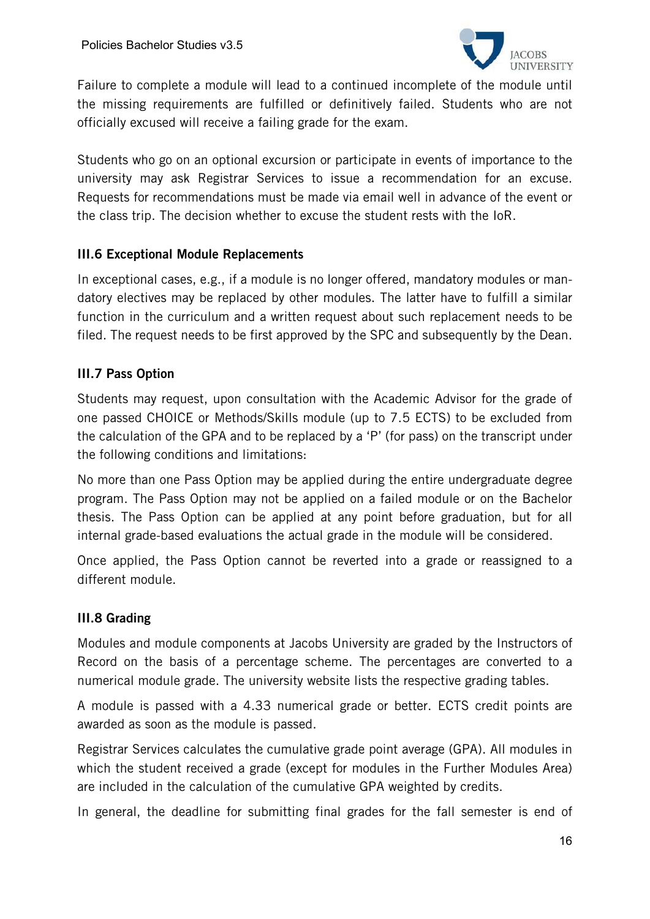

Failure to complete a module will lead to a continued incomplete of the module until the missing requirements are fulfilled or definitively failed. Students who are not officially excused will receive a failing grade for the exam.

Students who go on an optional excursion or participate in events of importance to the university may ask Registrar Services to issue a recommendation for an excuse. Requests for recommendations must be made via email well in advance of the event or the class trip. The decision whether to excuse the student rests with the IoR.

### III.6 Exceptional Module Replacements

In exceptional cases, e.g., if a module is no longer offered, mandatory modules or mandatory electives may be replaced by other modules. The latter have to fulfill a similar function in the curriculum and a written request about such replacement needs to be filed. The request needs to be first approved by the SPC and subsequently by the Dean.

# III.7 Pass Option

Students may request, upon consultation with the Academic Advisor for the grade of one passed CHOICE or Methods/Skills module (up to 7.5 ECTS) to be excluded from the calculation of the GPA and to be replaced by a 'P' (for pass) on the transcript under the following conditions and limitations:

No more than one Pass Option may be applied during the entire undergraduate degree program. The Pass Option may not be applied on a failed module or on the Bachelor thesis. The Pass Option can be applied at any point before graduation, but for all internal grade-based evaluations the actual grade in the module will be considered.

Once applied, the Pass Option cannot be reverted into a grade or reassigned to a different module.

### III.8 Grading

Modules and module components at Jacobs University are graded by the Instructors of Record on the basis of a percentage scheme. The percentages are converted to a numerical module grade. The university website lists the respective grading tables.

A module is passed with a 4.33 numerical grade or better. ECTS credit points are awarded as soon as the module is passed.

Registrar Services calculates the cumulative grade point average (GPA). All modules in which the student received a grade (except for modules in the Further Modules Area) are included in the calculation of the cumulative GPA weighted by credits.

In general, the deadline for submitting final grades for the fall semester is end of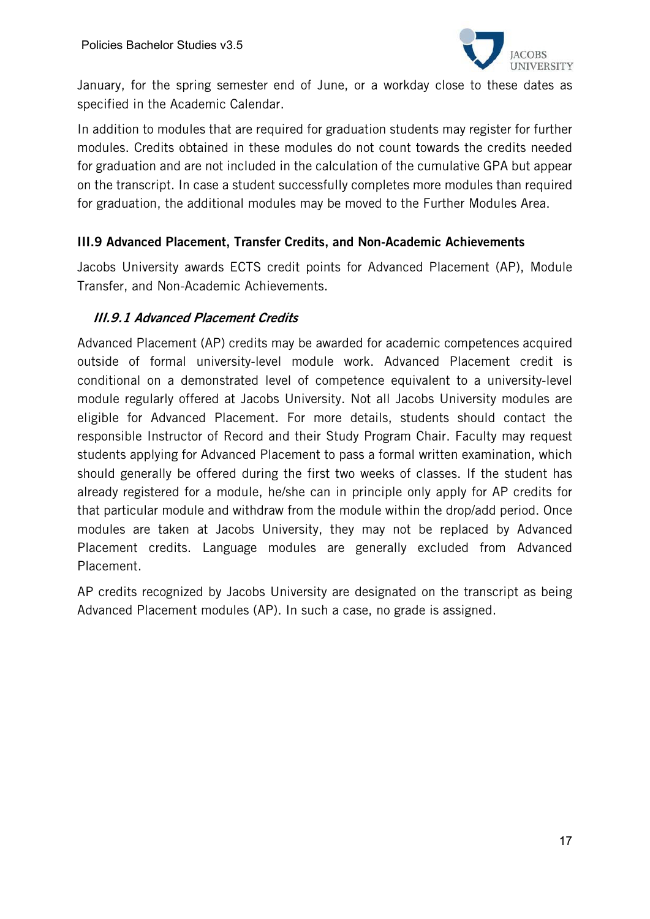

January, for the spring semester end of June, or a workday close to these dates as specified in the Academic Calendar.

In addition to modules that are required for graduation students may register for further modules. Credits obtained in these modules do not count towards the credits needed for graduation and are not included in the calculation of the cumulative GPA but appear on the transcript. In case a student successfully completes more modules than required for graduation, the additional modules may be moved to the Further Modules Area.

### III.9 Advanced Placement, Transfer Credits, and Non-Academic Achievements

Jacobs University awards ECTS credit points for Advanced Placement (AP), Module Transfer, and Non-Academic Achievements.

# III.9.1 Advanced Placement Credits

Advanced Placement (AP) credits may be awarded for academic competences acquired outside of formal university-level module work. Advanced Placement credit is conditional on a demonstrated level of competence equivalent to a university-level module regularly offered at Jacobs University. Not all Jacobs University modules are eligible for Advanced Placement. For more details, students should contact the responsible Instructor of Record and their Study Program Chair. Faculty may request students applying for Advanced Placement to pass a formal written examination, which should generally be offered during the first two weeks of classes. If the student has already registered for a module, he/she can in principle only apply for AP credits for that particular module and withdraw from the module within the drop/add period. Once modules are taken at Jacobs University, they may not be replaced by Advanced Placement credits. Language modules are generally excluded from Advanced Placement.

AP credits recognized by Jacobs University are designated on the transcript as being Advanced Placement modules (AP). In such a case, no grade is assigned.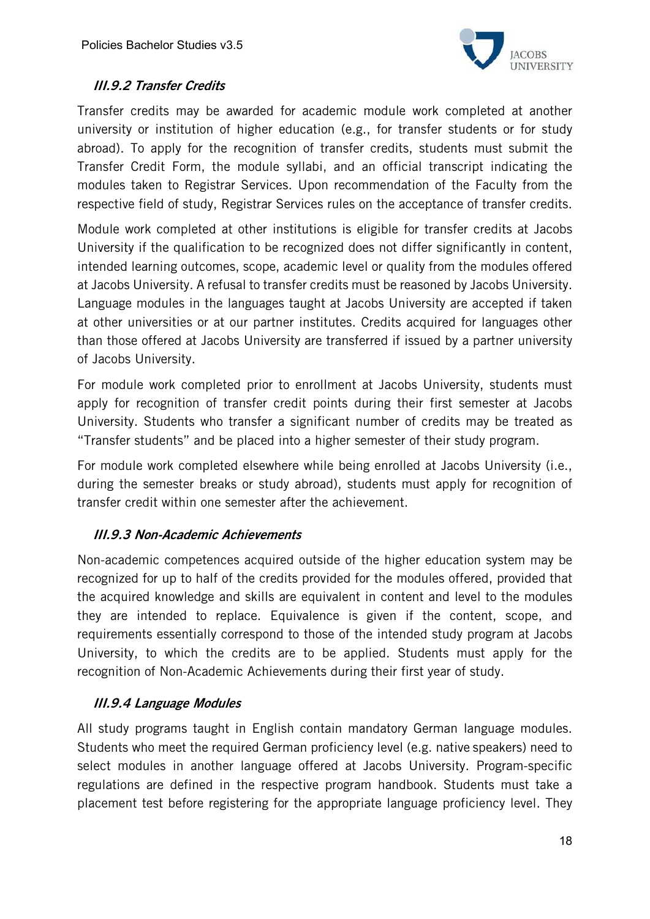

# III.9.2 Transfer Credits

Transfer credits may be awarded for academic module work completed at another university or institution of higher education (e.g., for transfer students or for study abroad). To apply for the recognition of transfer credits, students must submit the Transfer Credit Form, the module syllabi, and an official transcript indicating the modules taken to Registrar Services. Upon recommendation of the Faculty from the respective field of study, Registrar Services rules on the acceptance of transfer credits.

Module work completed at other institutions is eligible for transfer credits at Jacobs University if the qualification to be recognized does not differ significantly in content, intended learning outcomes, scope, academic level or quality from the modules offered at Jacobs University. A refusal to transfer credits must be reasoned by Jacobs University. Language modules in the languages taught at Jacobs University are accepted if taken at other universities or at our partner institutes. Credits acquired for languages other than those offered at Jacobs University are transferred if issued by a partner university of Jacobs University.

For module work completed prior to enrollment at Jacobs University, students must apply for recognition of transfer credit points during their first semester at Jacobs University. Students who transfer a significant number of credits may be treated as "Transfer students" and be placed into a higher semester of their study program.

For module work completed elsewhere while being enrolled at Jacobs University (i.e., during the semester breaks or study abroad), students must apply for recognition of transfer credit within one semester after the achievement.

### III.9.3 Non-Academic Achievements

Non-academic competences acquired outside of the higher education system may be recognized for up to half of the credits provided for the modules offered, provided that the acquired knowledge and skills are equivalent in content and level to the modules they are intended to replace. Equivalence is given if the content, scope, and requirements essentially correspond to those of the intended study program at Jacobs University, to which the credits are to be applied. Students must apply for the recognition of Non-Academic Achievements during their first year of study.

### III.9.4 Language Modules

All study programs taught in English contain mandatory German language modules. Students who meet the required German proficiency level (e.g. native speakers) need to select modules in another language offered at Jacobs University. Program-specific regulations are defined in the respective program handbook. Students must take a placement test before registering for the appropriate language proficiency level. They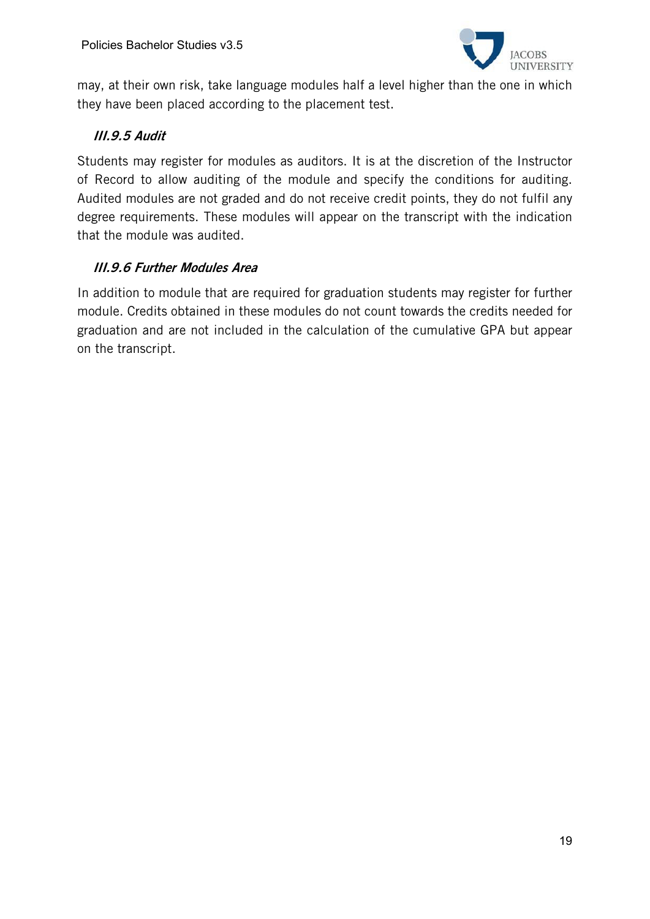

may, at their own risk, take language modules half a level higher than the one in which they have been placed according to the placement test.

# III.9.5 Audit

Students may register for modules as auditors. It is at the discretion of the Instructor of Record to allow auditing of the module and specify the conditions for auditing. Audited modules are not graded and do not receive credit points, they do not fulfil any degree requirements. These modules will appear on the transcript with the indication that the module was audited.

# III.9.6 Further Modules Area

In addition to module that are required for graduation students may register for further module. Credits obtained in these modules do not count towards the credits needed for graduation and are not included in the calculation of the cumulative GPA but appear on the transcript.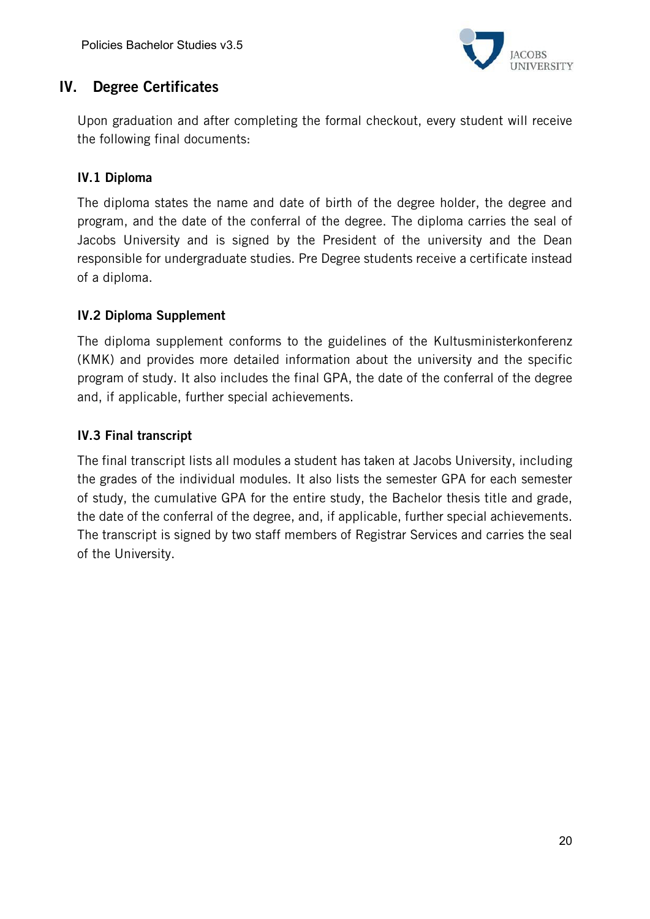

# IV. Degree Certificates

Upon graduation and after completing the formal checkout, every student will receive the following final documents:

# IV.1 Diploma

The diploma states the name and date of birth of the degree holder, the degree and program, and the date of the conferral of the degree. The diploma carries the seal of Jacobs University and is signed by the President of the university and the Dean responsible for undergraduate studies. Pre Degree students receive a certificate instead of a diploma.

# IV.2 Diploma Supplement

The diploma supplement conforms to the guidelines of the Kultusministerkonferenz (KMK) and provides more detailed information about the university and the specific program of study. It also includes the final GPA, the date of the conferral of the degree and, if applicable, further special achievements.

# IV.3 Final transcript

The final transcript lists all modules a student has taken at Jacobs University, including the grades of the individual modules. It also lists the semester GPA for each semester of study, the cumulative GPA for the entire study, the Bachelor thesis title and grade, the date of the conferral of the degree, and, if applicable, further special achievements. The transcript is signed by two staff members of Registrar Services and carries the seal of the University.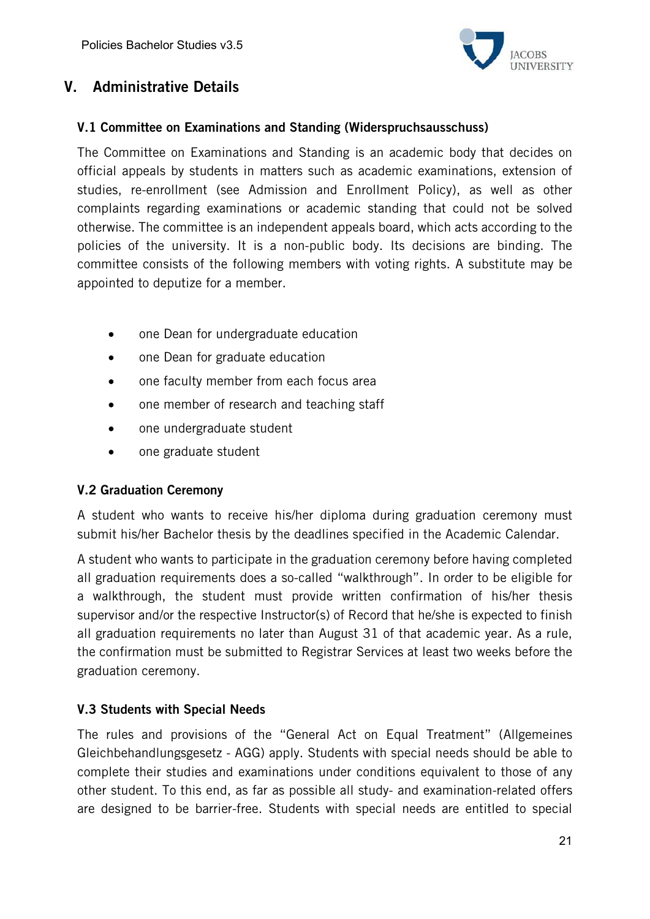

# V. Administrative Details

### V.1 Committee on Examinations and Standing (Widerspruchsausschuss)

The Committee on Examinations and Standing is an academic body that decides on official appeals by students in matters such as academic examinations, extension of studies, re-enrollment (see Admission and Enrollment Policy), as well as other complaints regarding examinations or academic standing that could not be solved otherwise. The committee is an independent appeals board, which acts according to the policies of the university. It is a non-public body. Its decisions are binding. The committee consists of the following members with voting rights. A substitute may be appointed to deputize for a member.

- one Dean for undergraduate education
- one Dean for graduate education
- one faculty member from each focus area
- one member of research and teaching staff
- one undergraduate student
- one graduate student

### V.2 Graduation Ceremony

A student who wants to receive his/her diploma during graduation ceremony must submit his/her Bachelor thesis by the deadlines specified in the Academic Calendar.

A student who wants to participate in the graduation ceremony before having completed all graduation requirements does a so-called "walkthrough". In order to be eligible for a walkthrough, the student must provide written confirmation of his/her thesis supervisor and/or the respective Instructor(s) of Record that he/she is expected to finish all graduation requirements no later than August 31 of that academic year. As a rule, the confirmation must be submitted to Registrar Services at least two weeks before the graduation ceremony.

### V.3 Students with Special Needs

The rules and provisions of the "General Act on Equal Treatment" (Allgemeines Gleichbehandlungsgesetz - AGG) apply. Students with special needs should be able to complete their studies and examinations under conditions equivalent to those of any other student. To this end, as far as possible all study- and examination-related offers are designed to be barrier-free. Students with special needs are entitled to special